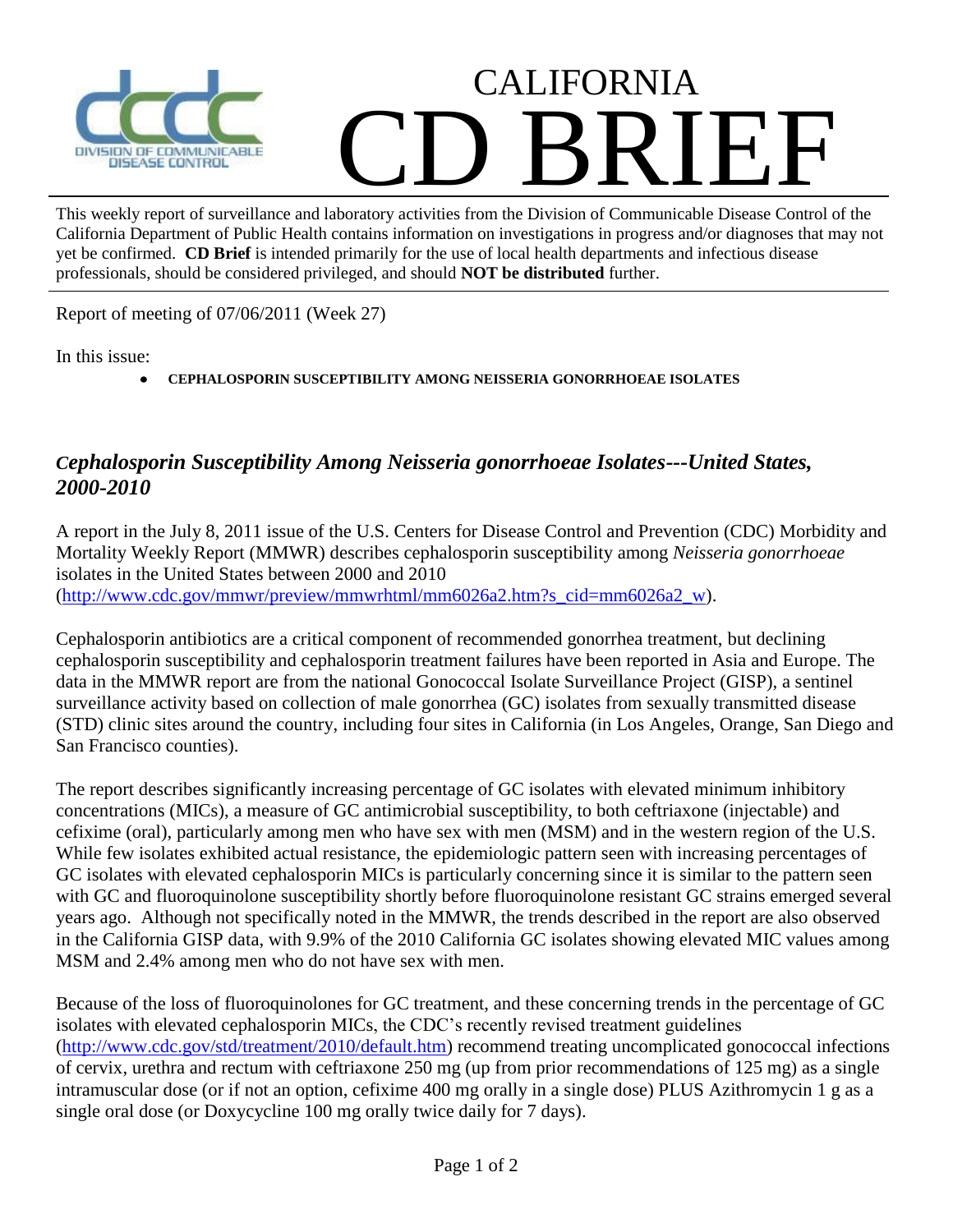

## CALIFORNIA CD BRIEF

This weekly report of surveillance and laboratory activities from the Division of Communicable Disease Control of the California Department of Public Health contains information on investigations in progress and/or diagnoses that may not yet be confirmed. **CD Brief** is intended primarily for the use of local health departments and infectious disease professionals, should be considered privileged, and should **NOT be distributed** further.

Report of meeting of 07/06/2011 (Week 27)

In this issue:

**CEPHALOSPORIN SUSCEPTIBILITY AMONG NEISSERIA GONORRHOEAE ISOLATES**

## *Cephalosporin Susceptibility Among Neisseria gonorrhoeae Isolates---United States, 2000-2010*

A report in the July 8, 2011 issue of the U.S. Centers for Disease Control and Prevention (CDC) Morbidity and Mortality Weekly Report (MMWR) describes cephalosporin susceptibility among *Neisseria gonorrhoeae* isolates in the United States between 2000 and 2010 [\(http://www.cdc.gov/mmwr/preview/mmwrhtml/mm6026a2.htm?s\\_cid=mm6026a2\\_w\)](http://www.cdc.gov/mmwr/preview/mmwrhtml/mm6026a2.htm?s_cid=mm6026a2_w).

Cephalosporin antibiotics are a critical component of recommended gonorrhea treatment, but declining cephalosporin susceptibility and cephalosporin treatment failures have been reported in Asia and Europe. The data in the MMWR report are from the national Gonococcal Isolate Surveillance Project (GISP), a sentinel surveillance activity based on collection of male gonorrhea (GC) isolates from sexually transmitted disease (STD) clinic sites around the country, including four sites in California (in Los Angeles, Orange, San Diego and San Francisco counties).

The report describes significantly increasing percentage of GC isolates with elevated minimum inhibitory concentrations (MICs), a measure of GC antimicrobial susceptibility, to both ceftriaxone (injectable) and cefixime (oral), particularly among men who have sex with men (MSM) and in the western region of the U.S. While few isolates exhibited actual resistance, the epidemiologic pattern seen with increasing percentages of GC isolates with elevated cephalosporin MICs is particularly concerning since it is similar to the pattern seen with GC and fluoroquinolone susceptibility shortly before fluoroquinolone resistant GC strains emerged several years ago. Although not specifically noted in the MMWR, the trends described in the report are also observed in the California GISP data, with 9.9% of the 2010 California GC isolates showing elevated MIC values among MSM and 2.4% among men who do not have sex with men.

Because of the loss of fluoroquinolones for GC treatment, and these concerning trends in the percentage of GC isolates with elevated cephalosporin MICs, the CDC's recently revised treatment guidelines [\(http://www.cdc.gov/std/treatment/2010/default.htm\)](http://www.cdc.gov/std/treatment/2010/default.htm) recommend treating uncomplicated gonococcal infections of cervix, urethra and rectum with ceftriaxone 250 mg (up from prior recommendations of 125 mg) as a single intramuscular dose (or if not an option, cefixime 400 mg orally in a single dose) PLUS Azithromycin 1 g as a single oral dose (or Doxycycline 100 mg orally twice daily for 7 days).